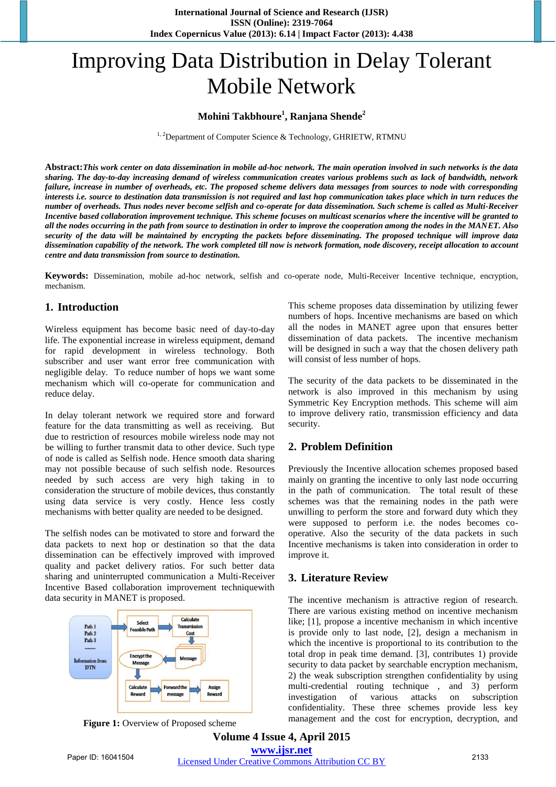# Improving Data Distribution in Delay Tolerant Mobile Network

## **Mohini Takbhoure<sup>1</sup> , Ranjana Shende<sup>2</sup>**

 $1, 2$ Department of Computer Science & Technology, GHRIETW, RTMNU

**Abstract:***This work center on data dissemination in mobile ad-hoc network. The main operation involved in such networks is the data sharing. The day-to-day increasing demand of wireless communication creates various problems such as lack of bandwidth, network failure, increase in number of overheads, etc. The proposed scheme delivers data messages from sources to node with corresponding interests i.e. source to destination data transmission is not required and last hop communication takes place which in turn reduces the number of overheads. Thus nodes never become selfish and co-operate for data dissemination. Such scheme is called as Multi-Receiver Incentive based collaboration improvement technique. This scheme focuses on multicast scenarios where the incentive will be granted to all the nodes occurring in the path from source to destination in order to improve the cooperation among the nodes in the MANET. Also security of the data will be maintained by encrypting the packets before disseminating. The proposed technique will improve data dissemination capability of the network. The work completed till now is network formation, node discovery, receipt allocation to account centre and data transmission from source to destination.*

**Keywords:** Dissemination, mobile ad-hoc network, selfish and co-operate node, Multi-Receiver Incentive technique, encryption, mechanism.

## **1. Introduction**

Wireless equipment has become basic need of day-to-day life. The exponential increase in wireless equipment, demand for rapid development in wireless technology. Both subscriber and user want error free communication with negligible delay. To reduce number of hops we want some mechanism which will co-operate for communication and reduce delay.

In delay tolerant network we required store and forward feature for the data transmitting as well as receiving. But due to restriction of resources mobile wireless node may not be willing to further transmit data to other device. Such type of node is called as Selfish node. Hence smooth data sharing may not possible because of such selfish node. Resources needed by such access are very high taking in to consideration the structure of mobile devices, thus constantly using data service is very costly. Hence less costly mechanisms with better quality are needed to be designed.

The selfish nodes can be motivated to store and forward the data packets to next hop or destination so that the data dissemination can be effectively improved with improved quality and packet delivery ratios. For such better data sharing and uninterrupted communication a Multi-Receiver Incentive Based collaboration improvement techniquewith data security in MANET is proposed.





This scheme proposes data dissemination by utilizing fewer numbers of hops. Incentive mechanisms are based on which all the nodes in MANET agree upon that ensures better dissemination of data packets. The incentive mechanism will be designed in such a way that the chosen delivery path will consist of less number of hops.

The security of the data packets to be disseminated in the network is also improved in this mechanism by using Symmetric Key Encryption methods. This scheme will aim to improve delivery ratio, transmission efficiency and data security.

## **2. Problem Definition**

Previously the Incentive allocation schemes proposed based mainly on granting the incentive to only last node occurring in the path of communication. The total result of these schemes was that the remaining nodes in the path were unwilling to perform the store and forward duty which they were supposed to perform i.e. the nodes becomes cooperative. Also the security of the data packets in such Incentive mechanisms is taken into consideration in order to improve it.

#### **3. Literature Review**

The incentive mechanism is attractive region of research. There are various existing method on incentive mechanism like; [1], propose a incentive mechanism in which incentive is provide only to last node, [2], design a mechanism in which the incentive is proportional to its contribution to the total drop in peak time demand. [3], contributes 1) provide security to data packet by searchable encryption mechanism, 2) the weak subscription strengthen confidentiality by using multi-credential routing technique , and 3) perform investigation of various attacks on subscription confidentiality. These three schemes provide less key management and the cost for encryption, decryption, and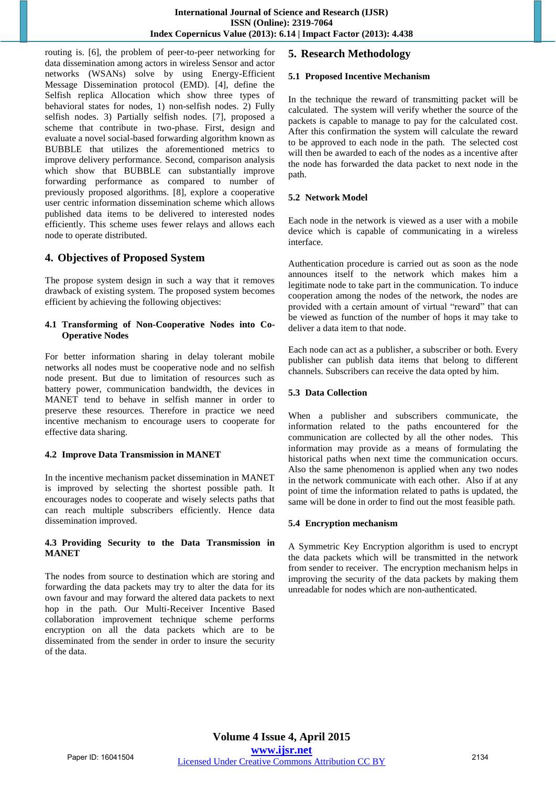routing is. [6], the problem of peer-to-peer networking for data dissemination among actors in wireless Sensor and actor networks (WSANs) solve by using Energy-Efficient Message Dissemination protocol (EMD). [4], define the Selfish replica Allocation which show three types of behavioral states for nodes, 1) non-selfish nodes. 2) Fully selfish nodes. 3) Partially selfish nodes. [7], proposed a scheme that contribute in two-phase. First, design and evaluate a novel social-based forwarding algorithm known as BUBBLE that utilizes the aforementioned metrics to improve delivery performance. Second, comparison analysis which show that BUBBLE can substantially improve forwarding performance as compared to number of previously proposed algorithms. [8], explore a cooperative user centric information dissemination scheme which allows published data items to be delivered to interested nodes efficiently. This scheme uses fewer relays and allows each node to operate distributed.

## **4. Objectives of Proposed System**

The propose system design in such a way that it removes drawback of existing system. The proposed system becomes efficient by achieving the following objectives:

#### **4.1 Transforming of Non-Cooperative Nodes into Co-Operative Nodes**

For better information sharing in delay tolerant mobile networks all nodes must be cooperative node and no selfish node present. But due to limitation of resources such as battery power, communication bandwidth, the devices in MANET tend to behave in selfish manner in order to preserve these resources. Therefore in practice we need incentive mechanism to encourage users to cooperate for effective data sharing.

## **4.2 Improve Data Transmission in MANET**

In the incentive mechanism packet dissemination in MANET is improved by selecting the shortest possible path. It encourages nodes to cooperate and wisely selects paths that can reach multiple subscribers efficiently. Hence data dissemination improved.

#### **4.3 Providing Security to the Data Transmission in MANET**

The nodes from source to destination which are storing and forwarding the data packets may try to alter the data for its own favour and may forward the altered data packets to next hop in the path. Our Multi-Receiver Incentive Based collaboration improvement technique scheme performs encryption on all the data packets which are to be disseminated from the sender in order to insure the security of the data.

## **5. Research Methodology**

#### **5.1 Proposed Incentive Mechanism**

In the technique the reward of transmitting packet will be calculated. The system will verify whether the source of the packets is capable to manage to pay for the calculated cost. After this confirmation the system will calculate the reward to be approved to each node in the path. The selected cost will then be awarded to each of the nodes as a incentive after the node has forwarded the data packet to next node in the path.

#### **5.2 Network Model**

Each node in the network is viewed as a user with a mobile device which is capable of communicating in a wireless interface.

Authentication procedure is carried out as soon as the node announces itself to the network which makes him a legitimate node to take part in the communication. To induce cooperation among the nodes of the network, the nodes are provided with a certain amount of virtual "reward" that can be viewed as function of the number of hops it may take to deliver a data item to that node.

Each node can act as a publisher, a subscriber or both. Every publisher can publish data items that belong to different channels. Subscribers can receive the data opted by him.

### **5.3 Data Collection**

When a publisher and subscribers communicate, the information related to the paths encountered for the communication are collected by all the other nodes. This information may provide as a means of formulating the historical paths when next time the communication occurs. Also the same phenomenon is applied when any two nodes in the network communicate with each other. Also if at any point of time the information related to paths is updated, the same will be done in order to find out the most feasible path.

## **5.4 Encryption mechanism**

A Symmetric Key Encryption algorithm is used to encrypt the data packets which will be transmitted in the network from sender to receiver. The encryption mechanism helps in improving the security of the data packets by making them unreadable for nodes which are non-authenticated.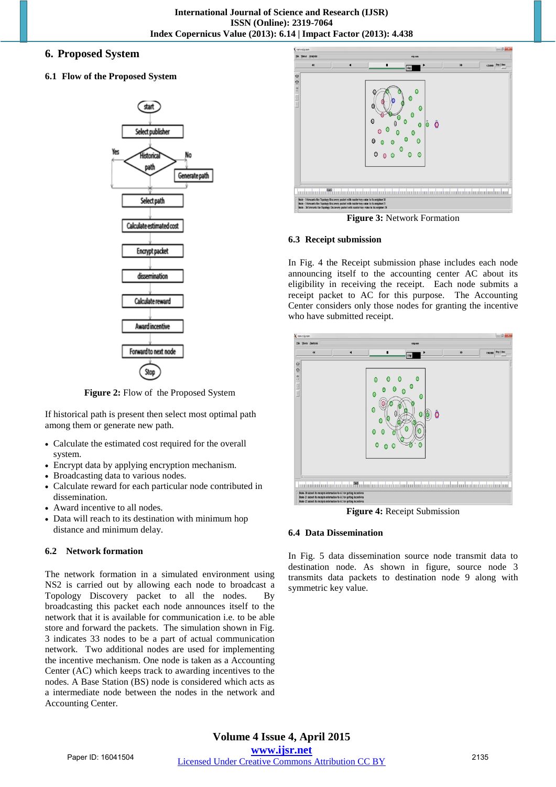## **6. Proposed System**

#### **6.1 Flow of the Proposed System**



**Figure 2:** Flow of the Proposed System

If historical path is present then select most optimal path among them or generate new path.

- Calculate the estimated cost required for the overall system.
- Encrypt data by applying encryption mechanism.
- Broadcasting data to various nodes.
- Calculate reward for each particular node contributed in dissemination.
- Award incentive to all nodes.
- Data will reach to its destination with minimum hop distance and minimum delay.

#### **6.2 Network formation**

The network formation in a simulated environment using NS2 is carried out by allowing each node to broadcast a Topology Discovery packet to all the nodes. By broadcasting this packet each node announces itself to the network that it is available for communication i.e. to be able store and forward the packets. The simulation shown in Fig. 3 indicates 33 nodes to be a part of actual communication network. Two additional nodes are used for implementing the incentive mechanism. One node is taken as a Accounting Center (AC) which keeps track to awarding incentives to the nodes. A Base Station (BS) node is considered which acts as a intermediate node between the nodes in the network and Accounting Center.



**Figure 3:** Network Formation

#### **6.3 Receipt submission**

In Fig. 4 the Receipt submission phase includes each node announcing itself to the accounting center AC about its eligibility in receiving the receipt. Each node submits a receipt packet to AC for this purpose. The Accounting Center considers only those nodes for granting the incentive who have submitted receipt.



**Figure 4:** Receipt Submission

#### **6.4 Data Dissemination**

In Fig. 5 data dissemination source node transmit data to destination node. As shown in figure, source node 3 transmits data packets to destination node 9 along with symmetric key value.